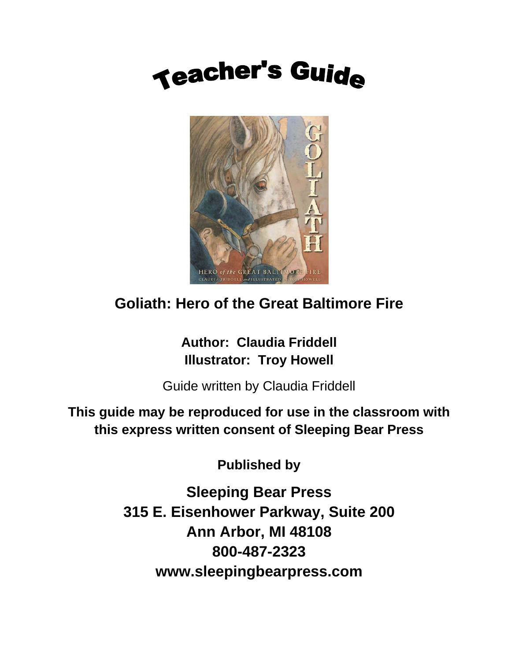### **Teacher's Guide**



#### **Goliath: Hero of the Great Baltimore Fire**

**Author: Claudia Friddell Illustrator: Troy Howell**

Guide written by Claudia Friddell

**This guide may be reproduced for use in the classroom with this express written consent of Sleeping Bear Press** 

**Published by** 

**Sleeping Bear Press 315 E. Eisenhower Parkway, Suite 200 Ann Arbor, MI 48108 800-487-2323 www.sleepingbearpress.com**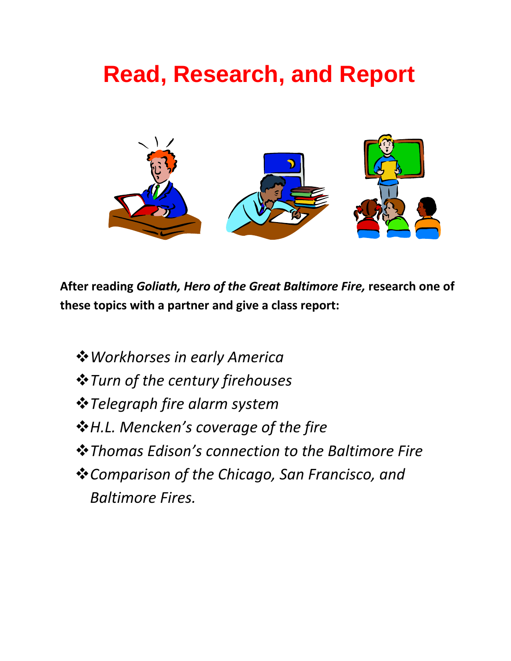### **Read, Research, and Report**



**After reading** *Goliath, Hero of the Great Baltimore Fire,* **research one of these topics with a partner and give a class report:**

*Workhorses in early America Turn of the century firehouses Telegraph fire alarm system H.L. Mencken's coverage of the fire Thomas Edison's connection to the Baltimore Fire Comparison of the Chicago, San Francisco, and Baltimore Fires.*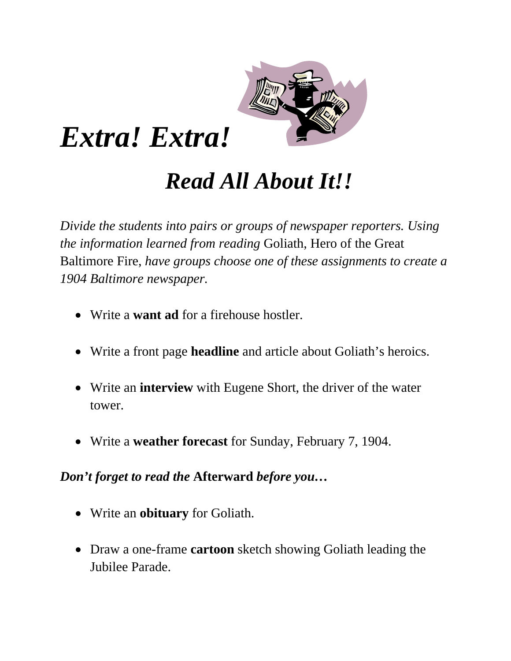

### *Extra! Extra!*

### *Read All About It!!*

*Divide the students into pairs or groups of newspaper reporters. Using the information learned from reading* Goliath, Hero of the Great Baltimore Fire, *have groups choose one of these assignments to create a 1904 Baltimore newspaper.* 

- Write a **want ad** for a firehouse hostler.
- Write a front page **headline** and article about Goliath's heroics.
- Write an **interview** with Eugene Short, the driver of the water tower.
- Write a **weather forecast** for Sunday, February 7, 1904.

*Don't forget to read the* **Afterward** *before you…* 

- Write an **obituary** for Goliath.
- Draw a one-frame **cartoon** sketch showing Goliath leading the Jubilee Parade.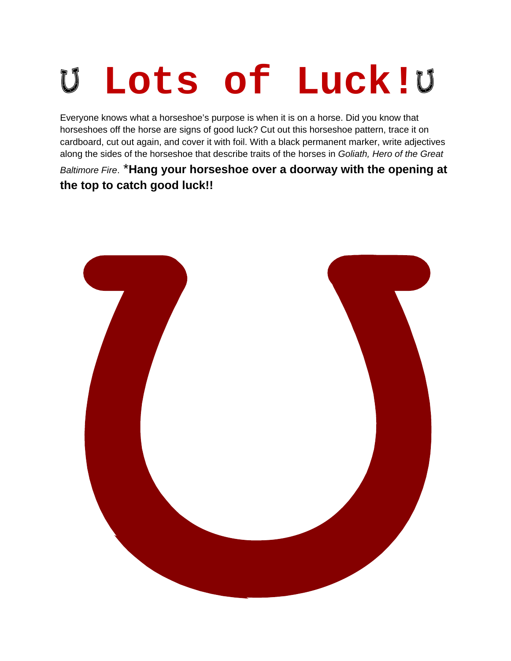# **Lots of Luck!**

Everyone knows what a horseshoe's purpose is when it is on a horse. Did you know that horseshoes off the horse are signs of good luck? Cut out this horseshoe pattern, trace it on cardboard, cut out again, and cover it with foil. With a black permanent marker, write adjectives along the sides of the horseshoe that describe traits of the horses in *Goliath, Hero of the Great* 

*Baltimore Fire*. \***Hang your horseshoe over a doorway with the opening at the top to catch good luck!!**

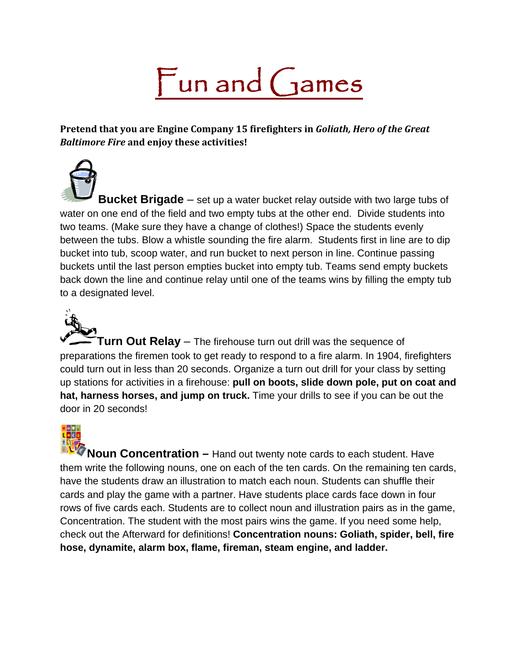# Fun and Games

**Pretend that you are Engine Company 15 firefighters in** *Goliath, Hero of the Great Baltimore Fire* **and enjoy these activities!**

**Bucket Brigade** – set up a water bucket relay outside with two large tubs of water on one end of the field and two empty tubs at the other end. Divide students into two teams. (Make sure they have a change of clothes!) Space the students evenly between the tubs. Blow a whistle sounding the fire alarm. Students first in line are to dip bucket into tub, scoop water, and run bucket to next person in line. Continue passing buckets until the last person empties bucket into empty tub. Teams send empty buckets back down the line and continue relay until one of the teams wins by filling the empty tub to a designated level.

**Turn Out Relay** – The firehouse turn out drill was the sequence of preparations the firemen took to get ready to respond to a fire alarm. In 1904, firefighters could turn out in less than 20 seconds. Organize a turn out drill for your class by setting up stations for activities in a firehouse: **pull on boots, slide down pole, put on coat and hat, harness horses, and jump on truck.** Time your drills to see if you can be out the door in 20 seconds!

**Noun Concentration –** Hand out twenty note cards to each student. Have them write the following nouns, one on each of the ten cards. On the remaining ten cards, have the students draw an illustration to match each noun. Students can shuffle their cards and play the game with a partner. Have students place cards face down in four rows of five cards each. Students are to collect noun and illustration pairs as in the game, Concentration. The student with the most pairs wins the game. If you need some help, check out the Afterward for definitions! **Concentration nouns: Goliath, spider, bell, fire hose, dynamite, alarm box, flame, fireman, steam engine, and ladder.**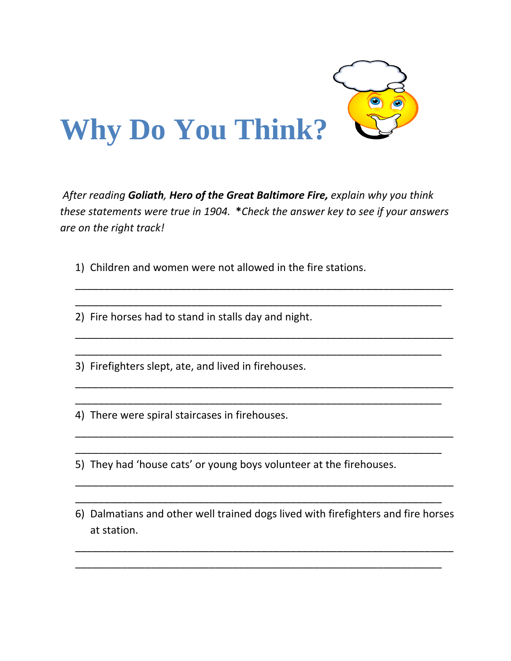

*After reading Goliath, Hero of the Great Baltimore Fire, explain why you think these statements were true in 1904.* **\****Check the answer key to see if your answers are on the right track!*

\_\_\_\_\_\_\_\_\_\_\_\_\_\_\_\_\_\_\_\_\_\_\_\_\_\_\_\_\_\_\_\_\_\_\_\_\_\_\_\_\_\_\_\_\_\_\_\_\_\_\_\_\_\_\_\_\_\_\_\_\_\_\_\_\_

\_\_\_\_\_\_\_\_\_\_\_\_\_\_\_\_\_\_\_\_\_\_\_\_\_\_\_\_\_\_\_\_\_\_\_\_\_\_\_\_\_\_\_\_\_\_\_\_\_\_\_\_\_\_\_\_\_\_\_\_\_\_\_\_\_

\_\_\_\_\_\_\_\_\_\_\_\_\_\_\_\_\_\_\_\_\_\_\_\_\_\_\_\_\_\_\_\_\_\_\_\_\_\_\_\_\_\_\_\_\_\_\_\_\_\_\_\_\_\_\_\_\_\_\_\_\_\_\_\_\_

\_\_\_\_\_\_\_\_\_\_\_\_\_\_\_\_\_\_\_\_\_\_\_\_\_\_\_\_\_\_\_\_\_\_\_\_\_\_\_\_\_\_\_\_\_\_\_\_\_\_\_\_\_\_\_\_\_\_\_\_\_\_\_\_\_

\_\_\_\_\_\_\_\_\_\_\_\_\_\_\_\_\_\_\_\_\_\_\_\_\_\_\_\_\_\_\_\_\_\_\_\_\_\_\_\_\_\_\_\_\_\_\_\_\_\_\_\_\_\_\_\_\_\_\_\_\_\_\_

\_\_\_\_\_\_\_\_\_\_\_\_\_\_\_\_\_\_\_\_\_\_\_\_\_\_\_\_\_\_\_\_\_\_\_\_\_\_\_\_\_\_\_\_\_\_\_\_\_\_\_\_\_\_\_\_\_\_\_\_\_\_\_

\_\_\_\_\_\_\_\_\_\_\_\_\_\_\_\_\_\_\_\_\_\_\_\_\_\_\_\_\_\_\_\_\_\_\_\_\_\_\_\_\_\_\_\_\_\_\_\_\_\_\_\_\_\_\_\_\_\_\_\_\_\_\_

\_\_\_\_\_\_\_\_\_\_\_\_\_\_\_\_\_\_\_\_\_\_\_\_\_\_\_\_\_\_\_\_\_\_\_\_\_\_\_\_\_\_\_\_\_\_\_\_\_\_\_\_\_\_\_\_\_\_\_\_\_\_\_

1) Children and women were not allowed in the fire stations.

2) Fire horses had to stand in stalls day and night.

3) Firefighters slept, ate, and lived in firehouses.

4) There were spiral staircases in firehouses.

5) They had 'house cats' or young boys volunteer at the firehouses.

6) Dalmatians and other well trained dogs lived with firefighters and fire horses at station.

\_\_\_\_\_\_\_\_\_\_\_\_\_\_\_\_\_\_\_\_\_\_\_\_\_\_\_\_\_\_\_\_\_\_\_\_\_\_\_\_\_\_\_\_\_\_\_\_\_\_\_\_\_\_\_\_\_\_\_\_\_\_\_\_\_

\_\_\_\_\_\_\_\_\_\_\_\_\_\_\_\_\_\_\_\_\_\_\_\_\_\_\_\_\_\_\_\_\_\_\_\_\_\_\_\_\_\_\_\_\_\_\_\_\_\_\_\_\_\_\_\_\_\_\_\_\_\_\_

\_\_\_\_\_\_\_\_\_\_\_\_\_\_\_\_\_\_\_\_\_\_\_\_\_\_\_\_\_\_\_\_\_\_\_\_\_\_\_\_\_\_\_\_\_\_\_\_\_\_\_\_\_\_\_\_\_\_\_\_\_\_\_\_\_

\_\_\_\_\_\_\_\_\_\_\_\_\_\_\_\_\_\_\_\_\_\_\_\_\_\_\_\_\_\_\_\_\_\_\_\_\_\_\_\_\_\_\_\_\_\_\_\_\_\_\_\_\_\_\_\_\_\_\_\_\_\_\_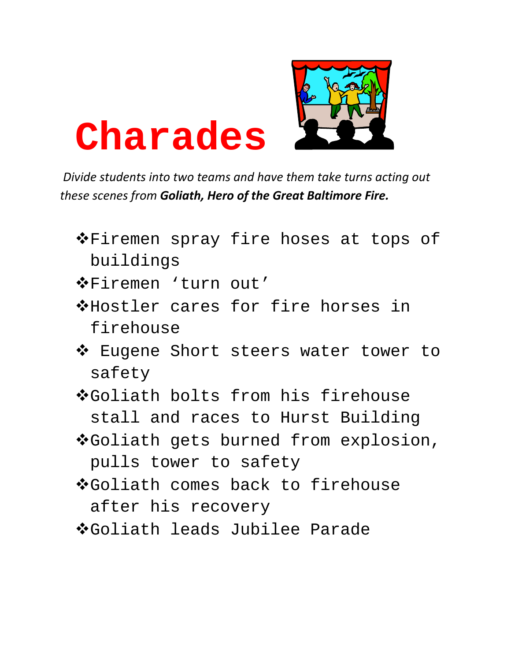

## **Charades**

*Divide students into two teams and have them take turns acting out these scenes from Goliath, Hero of the Great Baltimore Fire.*

- ◆ Firemen spray fire hoses at tops of buildings
- Firemen 'turn out'
- Hostler cares for fire horses in firehouse
- ◆ Eugene Short steers water tower to safety
- Goliath bolts from his firehouse stall and races to Hurst Building
- ◆Goliath gets burned from explosion, pulls tower to safety
- Goliath comes back to firehouse after his recovery
- Goliath leads Jubilee Parade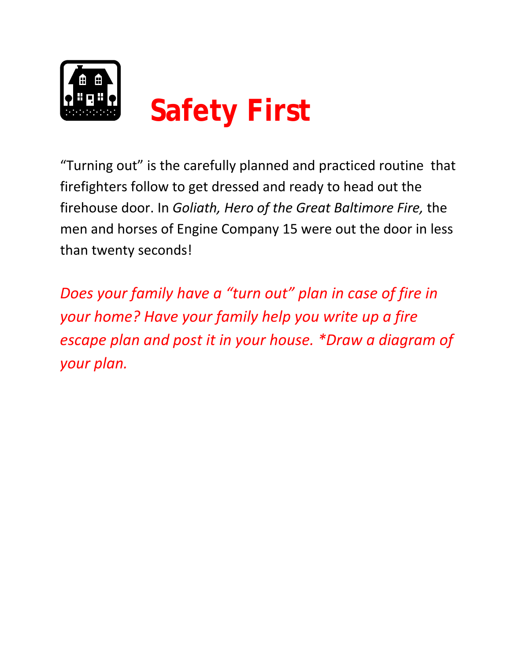

"Turning out" is the carefully planned and practiced routine that firefighters follow to get dressed and ready to head out the firehouse door. In *Goliath, Hero of the Great Baltimore Fire,* the men and horses of Engine Company 15 were out the door in less than twenty seconds!

*Does your family have a "turn out" plan in case of fire in your home? Have your family help you write up a fire escape plan and post it in your house. \*Draw a diagram of your plan.*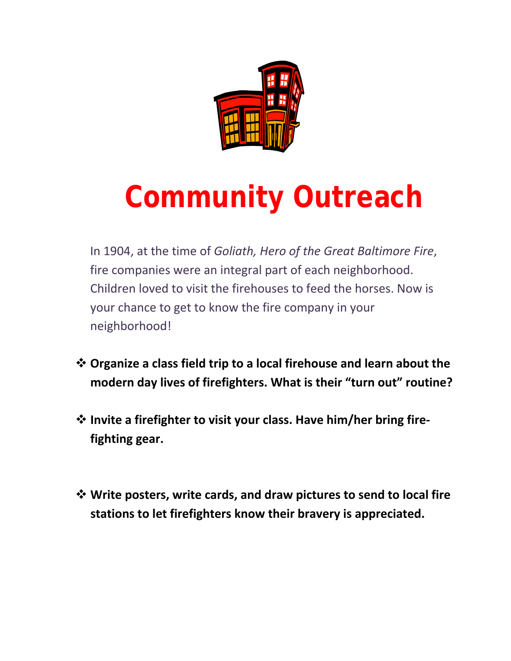

# **Community Outreach**

In 1904, at the time of *Goliath, Hero of the Great Baltimore Fire*, fire companies were an integral part of each neighborhood. Children loved to visit the firehouses to feed the horses. Now is your chance to get to know the fire company in your neighborhood!

- **Organize a class field trip to a local firehouse and learn about the modern day lives of firefighters. What is their "turn out" routine?**
- **Invite a firefighter to visit your class. Have him/her bring fire‐ fighting gear.**
- **Write posters, write cards, and draw pictures to send to local fire stations to let firefighters know their bravery is appreciated.**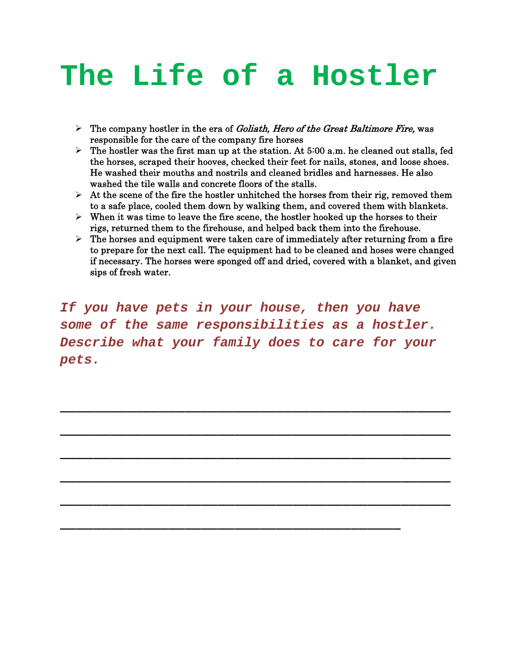### **The Life of a Hostler**

- $\triangleright$  The company hostler in the era of *Goliath, Hero of the Great Baltimore Fire*, was responsible for the care of the company fire horses
- $\triangleright$  The hostler was the first man up at the station. At 5:00 a.m. he cleaned out stalls, fed the horses, scraped their hooves, checked their feet for nails, stones, and loose shoes. He washed their mouths and nostrils and cleaned bridles and harnesses. He also washed the tile walls and concrete floors of the stalls.
- $\triangleright$  At the scene of the fire the hostler unhitched the horses from their rig, removed them to a safe place, cooled them down by walking them, and covered them with blankets.
- $\triangleright$  When it was time to leave the fire scene, the hostler hooked up the horses to their rigs, returned them to the firehouse, and helped back them into the firehouse.
- $\triangleright$  The horses and equipment were taken care of immediately after returning from a fire to prepare for the next call. The equipment had to be cleaned and hoses were changed if necessary. The horses were sponged off and dried, covered with a blanket, and given sips of fresh water.

*If you have pets in your house, then you have some of the same responsibilities as a hostler. Describe what your family does to care for your pets.* 

\_\_\_\_\_\_\_\_\_\_\_\_\_\_\_\_\_\_\_\_\_\_\_\_\_\_\_\_\_\_\_\_\_\_\_\_\_\_\_\_\_\_\_\_\_\_\_

\_\_\_\_\_\_\_\_\_\_\_\_\_\_\_\_\_\_\_\_\_\_\_\_\_\_\_\_\_\_\_\_\_\_\_\_\_\_\_\_\_\_\_\_\_\_\_

\_\_\_\_\_\_\_\_\_\_\_\_\_\_\_\_\_\_\_\_\_\_\_\_\_\_\_\_\_\_\_\_\_\_\_\_\_\_\_\_\_\_\_\_\_\_\_

\_\_\_\_\_\_\_\_\_\_\_\_\_\_\_\_\_\_\_\_\_\_\_\_\_\_\_\_\_\_\_\_\_\_\_\_\_\_\_\_\_\_\_\_\_\_\_

\_\_\_\_\_\_\_\_\_\_\_\_\_\_\_\_\_\_\_\_\_\_\_\_\_\_\_\_\_\_\_\_\_\_\_\_\_\_\_\_\_\_\_\_\_\_\_

\_\_\_\_\_\_\_\_\_\_\_\_\_\_\_\_\_\_\_\_\_\_\_\_\_\_\_\_\_\_\_\_\_\_\_\_\_\_\_\_\_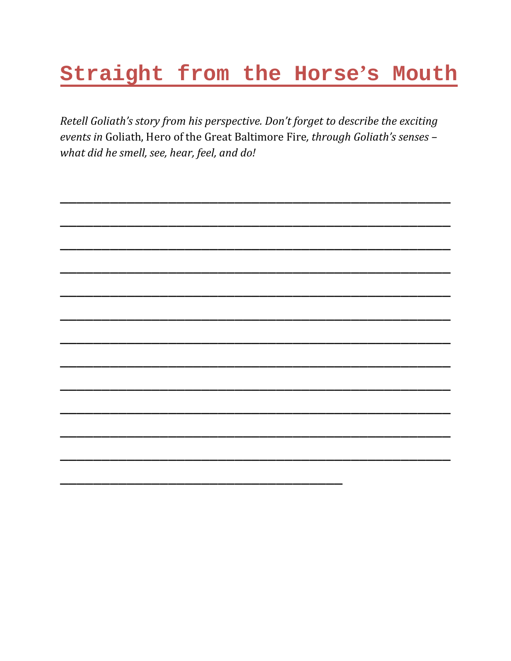#### Straight from the Horse's Mouth

Retell Goliath's story from his perspective. Don't forget to describe the exciting events in Goliath, Hero of the Great Baltimore Fire, through Goliath's senses what did he smell, see, hear, feel, and do!

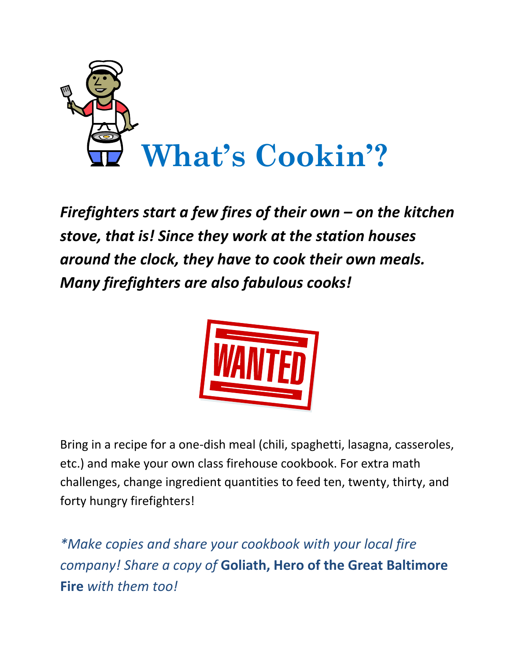

*Firefighters start a few fires of their own – on the kitchen stove, that is! Since they work at the station houses around the clock, they have to cook their own meals. Many firefighters are also fabulous cooks!* 



Bring in a recipe for a one‐dish meal (chili, spaghetti, lasagna, casseroles, etc.) and make your own class firehouse cookbook. For extra math challenges, change ingredient quantities to feed ten, twenty, thirty, and forty hungry firefighters!

*\*Make copies and share your cookbook with your local fire company! Share a copy of* **Goliath, Hero of the Great Baltimore Fire** *with them too!*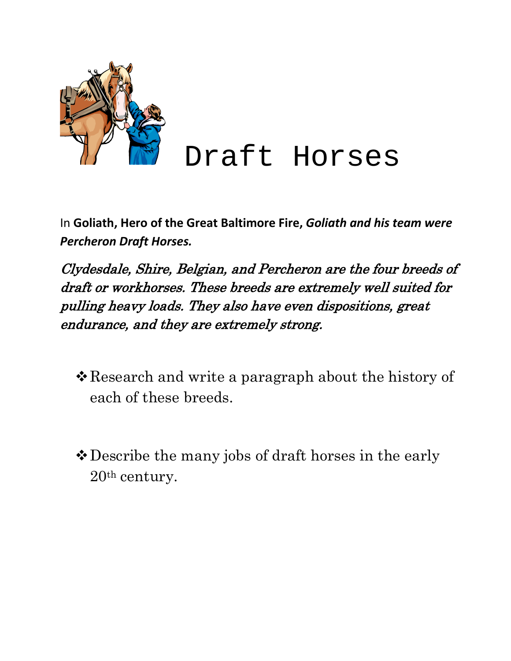

In **Goliath, Hero of the Great Baltimore Fire,** *Goliath and his team were Percheron Draft Horses.*

Clydesdale, Shire, Belgian, and Percheron are the four breeds of draft or workhorses. These breeds are extremely well suited for pulling heavy loads. They also have even dispositions, great endurance, and they are extremely strong.

- \* Research and write a paragraph about the history of each of these breeds.
- Describe the many jobs of draft horses in the early 20th century.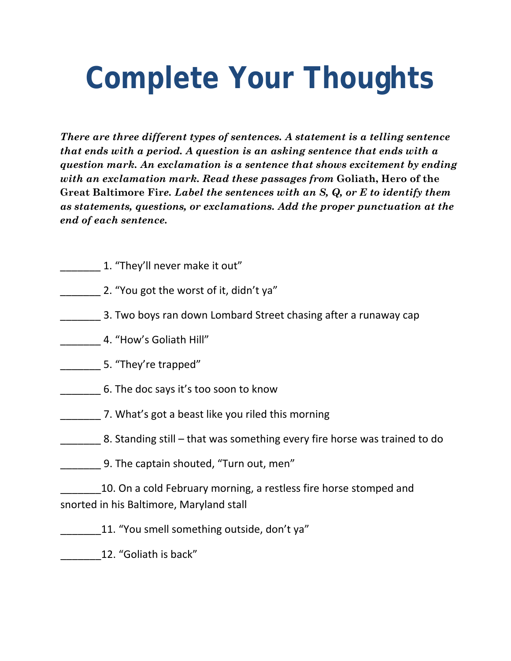## **Complete Your Thoughts**

*There are three different types of sentences. A statement is a telling sentence that ends with a period. A question is an asking sentence that ends with a question mark. An exclamation is a sentence that shows excitement by ending with an exclamation mark. Read these passages from* **Goliath, Hero of the Great Baltimore Fir***e. Label the sentences with an S, Q, or E to identify them as statements, questions, or exclamations. Add the proper punctuation at the end of each sentence.* 

- \_\_\_\_\_\_\_ 1. "They'll never make it out"
- 2. "You got the worst of it, didn't ya"
- \_\_\_\_\_\_\_ 3. Two boys ran down Lombard Street chasing after a runaway cap
- \_\_\_\_\_\_\_ 4. "How's Goliath Hill"
- 5. "They're trapped"
- \_\_\_\_\_\_\_ 6. The doc says it's too soon to know
- \_\_\_\_\_\_\_ 7. What's got a beast like you riled this morning
- 8. Standing still that was something every fire horse was trained to do
	- 9. The captain shouted, "Turn out, men"

10. On a cold February morning, a restless fire horse stomped and snorted in his Baltimore, Maryland stall

- \_\_\_\_\_\_\_11. "You smell something outside, don't ya"
	- \_\_\_\_\_\_\_12. "Goliath is back"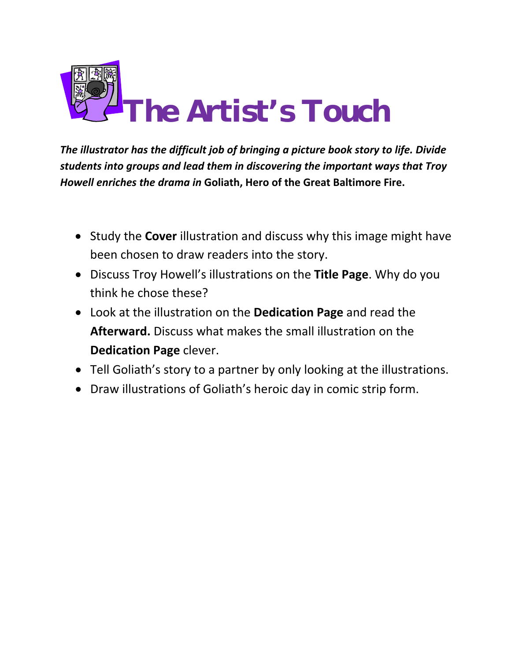

*The illustrator has the difficult job of bringing a picture book story to life. Divide students into groups and lead them in discovering the important ways that Troy Howell enriches the drama in* **Goliath, Hero of the Great Baltimore Fire.**

- Study the **Cover** illustration and discuss why this image might have been chosen to draw readers into the story.
- Discuss Troy Howell's illustrations on the **Title Page**. Why do you think he chose these?
- Look at the illustration on the **Dedication Page** and read the **Afterward.** Discuss what makes the small illustration on the **Dedication Page** clever.
- Tell Goliath's story to a partner by only looking at the illustrations.
- Draw illustrations of Goliath's heroic day in comic strip form.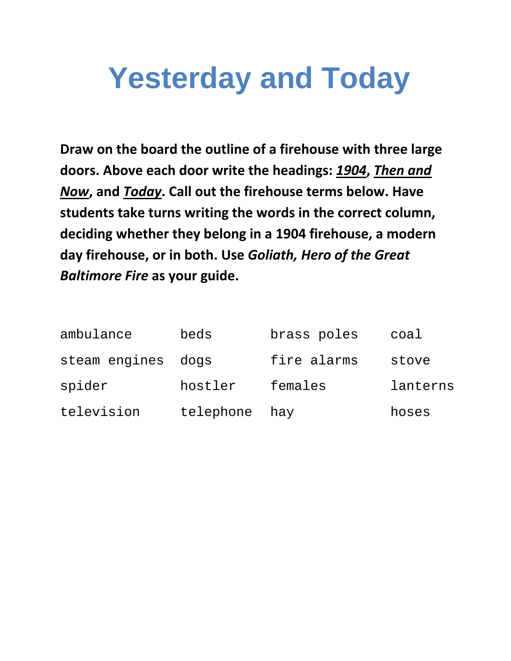### **Yesterday and Today**

**Draw on the board the outline of a firehouse with three large doors. Above each door write the headings:** *1904***,** *Then and Now***, and** *Today***. Call out the firehouse terms below. Have students take turns writing the words in the correct column, deciding whether they belong in a 1904 firehouse, a modern day firehouse, or in both. Use** *Goliath, Hero of the Great Baltimore Fire* **as your guide.**

| ambulance          | beds      | brass poles | coal     |
|--------------------|-----------|-------------|----------|
| steam engines dogs |           | fire alarms | stove    |
| spider             | hostler   | females     | lanterns |
| television         | telephone | hay         | hoses    |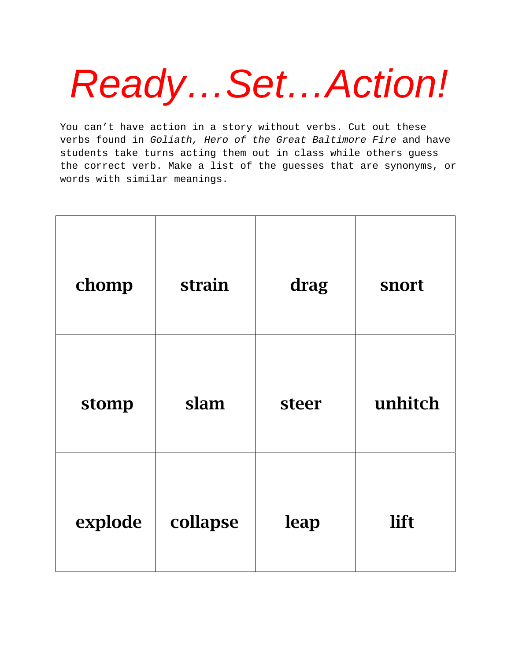# *Ready…Set…Action!*

You can't have action in a story without verbs. Cut out these verbs found in *Goliath, Hero of the Great Baltimore Fire* and have students take turns acting them out in class while others guess the correct verb. Make a list of the guesses that are synonyms, or words with similar meanings.

| chomp   | strain   | drag  | snort   |
|---------|----------|-------|---------|
| stomp   | slam     | steer | unhitch |
| explode | collapse | leap  | lift    |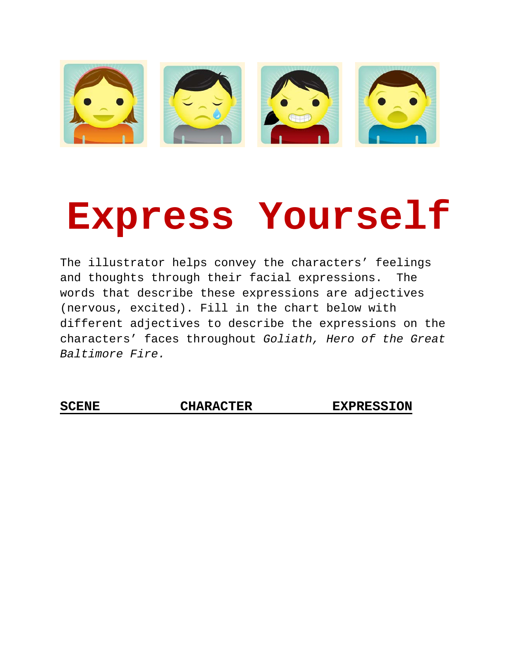

## **Express Yourself**

The illustrator helps convey the characters' feelings and thoughts through their facial expressions. The words that describe these expressions are adjectives (nervous, excited). Fill in the chart below with different adjectives to describe the expressions on the characters' faces throughout *Goliath, Hero of the Great Baltimore Fire.*

SCENE CHARACTER EXPRESSION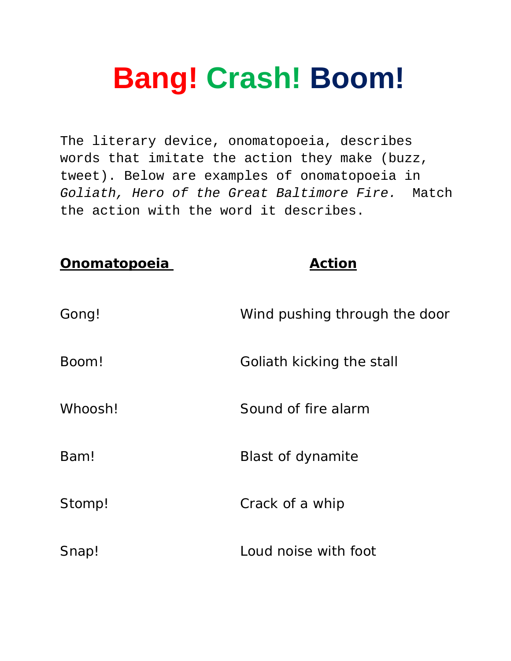## **Bang! Crash! Boom!**

The literary device, onomatopoeia, describes words that imitate the action they make (buzz, tweet). Below are examples of onomatopoeia in *Goliath, Hero of the Great Baltimore Fire.*Match the action with the word it describes.

| <b>Onomatopoeia</b> | <b>Action</b>                 |
|---------------------|-------------------------------|
| Gong!               | Wind pushing through the door |
| Boom!               | Goliath kicking the stall     |
| Whoosh!             | Sound of fire alarm           |
| Bam!                | Blast of dynamite             |
| Stomp!              | Crack of a whip               |
| Snap!               | Loud noise with foot          |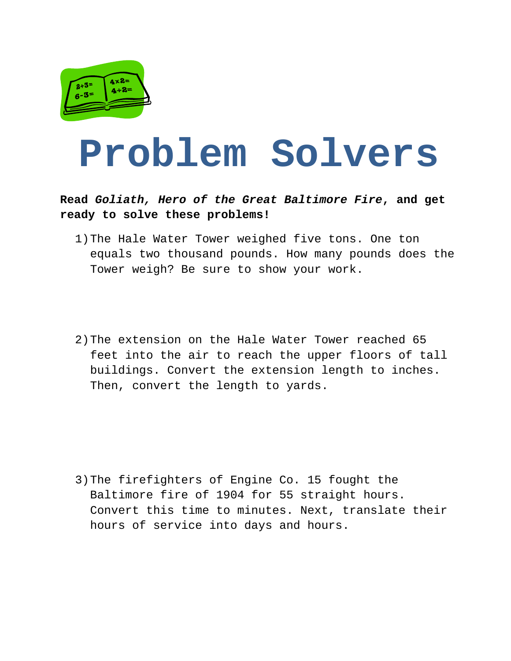

## **Problem Solvers**

**Read** *Goliath, Hero of the Great Baltimore Fire***, and get ready to solve these problems!** 

- 1)The Hale Water Tower weighed five tons. One ton equals two thousand pounds. How many pounds does the Tower weigh? Be sure to show your work.
- 2)The extension on the Hale Water Tower reached 65 feet into the air to reach the upper floors of tall buildings. Convert the extension length to inches. Then, convert the length to yards.

3)The firefighters of Engine Co. 15 fought the Baltimore fire of 1904 for 55 straight hours. Convert this time to minutes. Next, translate their hours of service into days and hours.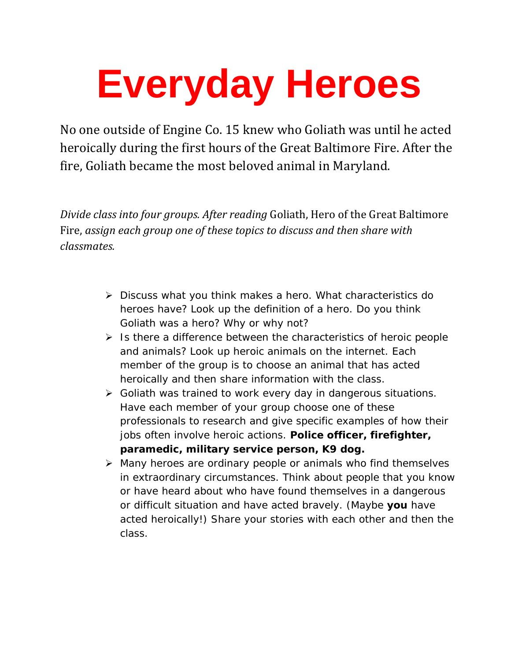# **Everyday Heroes**

No one outside of Engine Co. 15 knew who Goliath was until he acted heroically during the first hours of the Great Baltimore Fire. After the fire, Goliath became the most beloved animal in Maryland.

*Divide class into four groups. After reading* Goliath, Hero of the Great Baltimore Fire, *assign each group one of these topics to discuss and then share with classmates.* 

- ¾ Discuss what you think makes a hero. What characteristics do heroes have? Look up the definition of a hero. Do you think Goliath was a hero? Why or why not?
- $\triangleright$  Is there a difference between the characteristics of heroic people and animals? Look up heroic animals on the internet. Each member of the group is to choose an animal that has acted heroically and then share information with the class.
- ¾ Goliath was trained to work every day in dangerous situations. Have each member of your group choose one of these professionals to research and give specific examples of how their jobs often involve heroic actions. **Police officer, firefighter, paramedic, military service person, K9 dog.**
- ¾ Many heroes are ordinary people or animals who find themselves in extraordinary circumstances. Think about people that you know or have heard about who have found themselves in a dangerous or difficult situation and have acted bravely. (Maybe **you** have acted heroically!) Share your stories with each other and then the class.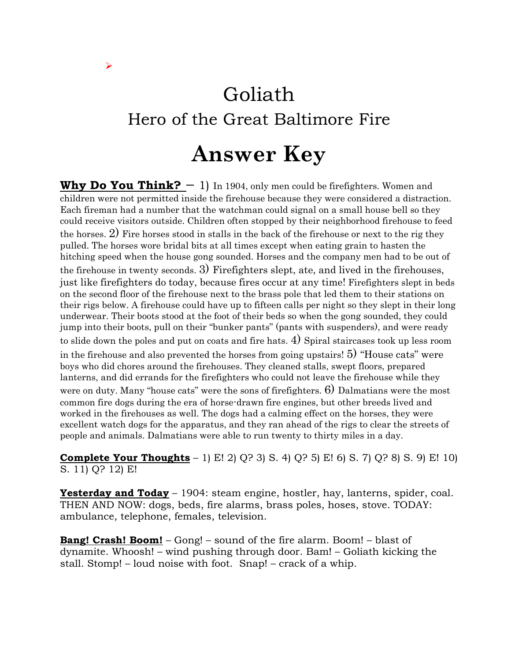### Goliath Hero of the Great Baltimore Fire

 $\blacktriangleright$ 

#### **Answer Key**

**Why Do You Think?**  $-1$ ) In 1904, only men could be firefighters. Women and children were not permitted inside the firehouse because they were considered a distraction. Each fireman had a number that the watchman could signal on a small house bell so they could receive visitors outside. Children often stopped by their neighborhood firehouse to feed the horses. 2) Fire horses stood in stalls in the back of the firehouse or next to the rig they pulled. The horses wore bridal bits at all times except when eating grain to hasten the hitching speed when the house gong sounded. Horses and the company men had to be out of the firehouse in twenty seconds. 3) Firefighters slept, ate, and lived in the firehouses, just like firefighters do today, because fires occur at any time! Firefighters slept in beds on the second floor of the firehouse next to the brass pole that led them to their stations on their rigs below. A firehouse could have up to fifteen calls per night so they slept in their long underwear. Their boots stood at the foot of their beds so when the gong sounded, they could jump into their boots, pull on their "bunker pants" (pants with suspenders), and were ready to slide down the poles and put on coats and fire hats. 4) Spiral staircases took up less room in the firehouse and also prevented the horses from going upstairs! 5) "House cats" were boys who did chores around the firehouses. They cleaned stalls, swept floors, prepared lanterns, and did errands for the firefighters who could not leave the firehouse while they

were on duty. Many "house cats" were the sons of firefighters.  $6$ ) Dalmatians were the most common fire dogs during the era of horse-drawn fire engines, but other breeds lived and worked in the firehouses as well. The dogs had a calming effect on the horses, they were excellent watch dogs for the apparatus, and they ran ahead of the rigs to clear the streets of people and animals. Dalmatians were able to run twenty to thirty miles in a day.

**Complete Your Thoughts** – 1) E! 2) Q? 3) S. 4) Q? 5) E! 6) S. 7) Q? 8) S. 9) E! 10) S. 11) Q? 12) E!

**Yesterday and Today** – 1904: steam engine, hostler, hay, lanterns, spider, coal. THEN AND NOW: dogs, beds, fire alarms, brass poles, hoses, stove. TODAY: ambulance, telephone, females, television.

**Bang! Crash! Boom!** – Gong! – sound of the fire alarm. Boom! – blast of dynamite. Whoosh! – wind pushing through door. Bam! – Goliath kicking the stall. Stomp! – loud noise with foot. Snap! – crack of a whip.